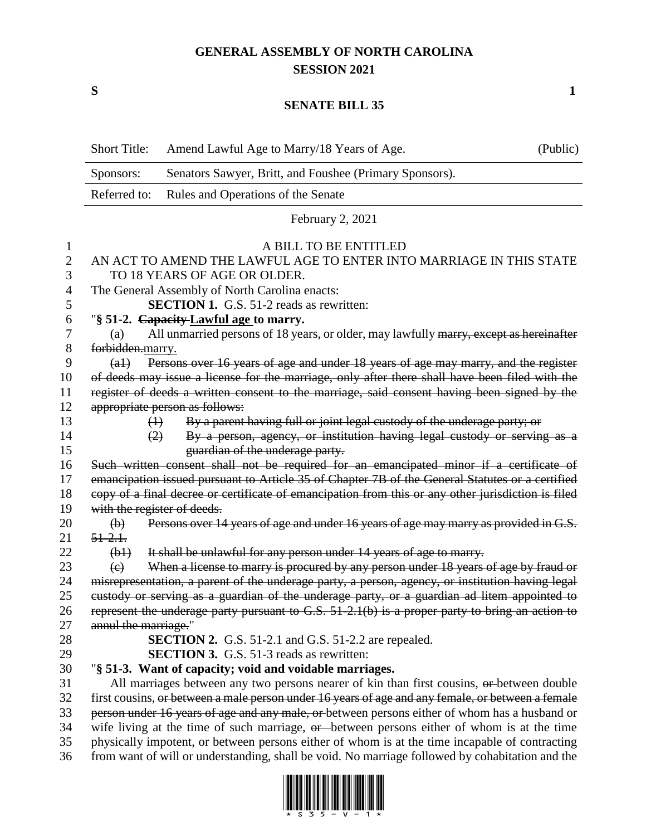## **GENERAL ASSEMBLY OF NORTH CAROLINA SESSION 2021**

## **SENATE BILL 35**

|    | <b>Short Title:</b>                                                                                      | Amend Lawful Age to Marry/18 Years of Age.                                           | (Public) |  |
|----|----------------------------------------------------------------------------------------------------------|--------------------------------------------------------------------------------------|----------|--|
|    | Sponsors:                                                                                                | Senators Sawyer, Britt, and Foushee (Primary Sponsors).                              |          |  |
|    | Referred to:<br>Rules and Operations of the Senate                                                       |                                                                                      |          |  |
|    | February 2, 2021                                                                                         |                                                                                      |          |  |
| 1  | A BILL TO BE ENTITLED                                                                                    |                                                                                      |          |  |
| 2  | AN ACT TO AMEND THE LAWFUL AGE TO ENTER INTO MARRIAGE IN THIS STATE                                      |                                                                                      |          |  |
| 3  | TO 18 YEARS OF AGE OR OLDER.                                                                             |                                                                                      |          |  |
| 4  | The General Assembly of North Carolina enacts:                                                           |                                                                                      |          |  |
| 5  | <b>SECTION 1.</b> G.S. 51-2 reads as rewritten:                                                          |                                                                                      |          |  |
| 6  | "§ 51-2. Capacity-Lawful age to marry.                                                                   |                                                                                      |          |  |
| 7  | All unmarried persons of 18 years, or older, may lawfully marry, except as hereinafter<br>(a)            |                                                                                      |          |  |
| 8  | forbidden.marry.                                                                                         |                                                                                      |          |  |
| 9  | Persons over 16 years of age and under 18 years of age may marry, and the register<br>$\left( a \right)$ |                                                                                      |          |  |
| 10 | of deeds may issue a license for the marriage, only after there shall have been filed with the           |                                                                                      |          |  |
| 11 | register of deeds a written consent to the marriage, said consent having been signed by the              |                                                                                      |          |  |
| 12 | appropriate person as follows:                                                                           |                                                                                      |          |  |
| 13 | $\leftrightarrow$                                                                                        | By a parent having full or joint legal custody of the underage party; or             |          |  |
| 14 | (2)                                                                                                      | By a person, agency, or institution having legal custody or serving as a             |          |  |
| 15 |                                                                                                          | guardian of the underage party.                                                      |          |  |
| 16 | Such written consent shall not be required for an emancipated minor if a certificate of                  |                                                                                      |          |  |
| 17 | emancipation issued pursuant to Article 35 of Chapter 7B of the General Statutes or a certified          |                                                                                      |          |  |
| 18 | copy of a final decree or certificate of emancipation from this or any other jurisdiction is filed       |                                                                                      |          |  |
| 19 | with the register of deeds.                                                                              |                                                                                      |          |  |
| 20 | $\left(\mathbf{b}\right)$                                                                                | Persons over 14 years of age and under 16 years of age may marry as provided in G.S. |          |  |
| 21 | $51 - 2.1.$                                                                                              |                                                                                      |          |  |
| 22 | $(b+)$                                                                                                   | It shall be unlawful for any person under 14 years of age to marry.                  |          |  |
| 23 | $\left(\mathrm{e}\right)$                                                                                | When a license to marry is procured by any person under 18 years of age by fraud or  |          |  |
| 24 | misrepresentation, a parent of the underage party, a person, agency, or institution having legal         |                                                                                      |          |  |
| 25 | eustody or serving as a guardian of the underage party, or a guardian ad litem appointed to              |                                                                                      |          |  |
| 26 | represent the underage party pursuant to $G.S. 51-2.1(b)$ is a proper party to bring an action to        |                                                                                      |          |  |
| 27 | annul the marriage."                                                                                     |                                                                                      |          |  |
| 28 | <b>SECTION 2.</b> G.S. 51-2.1 and G.S. 51-2.2 are repealed.                                              |                                                                                      |          |  |
| 29 |                                                                                                          | <b>SECTION 3.</b> G.S. 51-3 reads as rewritten:                                      |          |  |
| 30 | "§ 51-3. Want of capacity; void and voidable marriages.                                                  |                                                                                      |          |  |
| 31 | All marriages between any two persons nearer of kin than first cousins, or between double                |                                                                                      |          |  |
| 32 | first cousins, or between a male person under 16 years of age and any female, or between a female        |                                                                                      |          |  |
| 33 | person under 16 years of age and any male, or between persons either of whom has a husband or            |                                                                                      |          |  |
| 34 | wife living at the time of such marriage, or between persons either of whom is at the time               |                                                                                      |          |  |
| 35 | physically impotent, or between persons either of whom is at the time incapable of contracting           |                                                                                      |          |  |
| 36 | from want of will or understanding, shall be void. No marriage followed by cohabitation and the          |                                                                                      |          |  |



**S 1**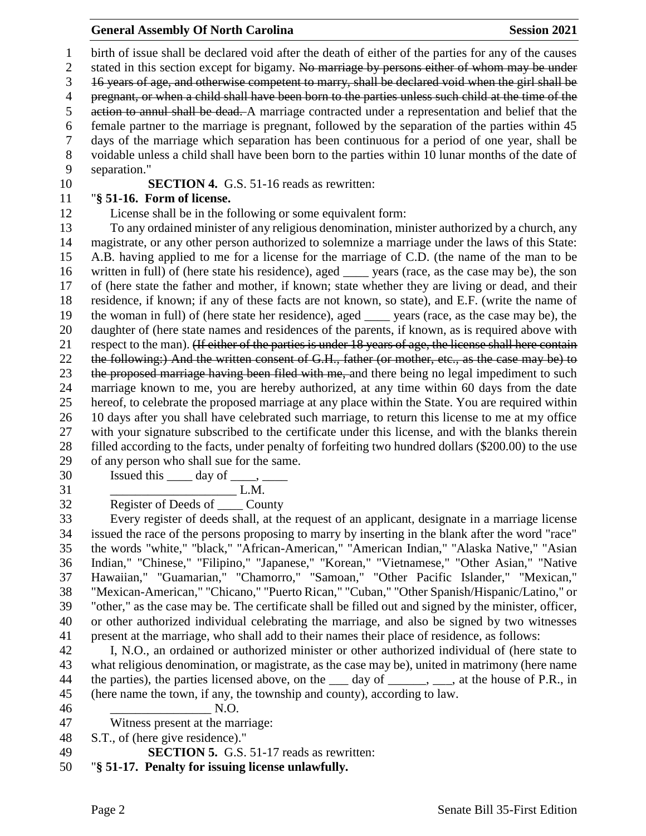## **General Assembly Of North Carolina Session 2021**

 birth of issue shall be declared void after the death of either of the parties for any of the causes 2 stated in this section except for bigamy. No marriage by persons either of whom may be under 16 years of age, and otherwise competent to marry, shall be declared void when the girl shall be 4 pregnant, or when a child shall have been born to the parties unless such child at the time of the action to annul shall be dead. A marriage contracted under a representation and belief that the female partner to the marriage is pregnant, followed by the separation of the parties within 45 days of the marriage which separation has been continuous for a period of one year, shall be voidable unless a child shall have been born to the parties within 10 lunar months of the date of separation." **SECTION 4.** G.S. 51-16 reads as rewritten: "**§ 51-16. Form of license.** License shall be in the following or some equivalent form:

 To any ordained minister of any religious denomination, minister authorized by a church, any magistrate, or any other person authorized to solemnize a marriage under the laws of this State: A.B. having applied to me for a license for the marriage of C.D. (the name of the man to be written in full) of (here state his residence), aged \_\_\_\_ years (race, as the case may be), the son of (here state the father and mother, if known; state whether they are living or dead, and their residence, if known; if any of these facts are not known, so state), and E.F. (write the name of the woman in full) of (here state her residence), aged \_\_\_\_ years (race, as the case may be), the daughter of (here state names and residences of the parents, if known, as is required above with 21 respect to the man). (If either of the parties is under 18 years of age, the license shall here contain the following:) And the written consent of G.H., father (or mother, etc., as the case may be) to 23 the proposed marriage having been filed with me, and there being no legal impediment to such marriage known to me, you are hereby authorized, at any time within 60 days from the date hereof, to celebrate the proposed marriage at any place within the State. You are required within 10 days after you shall have celebrated such marriage, to return this license to me at my office with your signature subscribed to the certificate under this license, and with the blanks therein filled according to the facts, under penalty of forfeiting two hundred dollars (\$200.00) to the use of any person who shall sue for the same.

Issued this  $\_\_\_$  day of  $\_\_\_$ 

 $L.M.$ 

Register of Deeds of \_\_\_\_ County

 Every register of deeds shall, at the request of an applicant, designate in a marriage license issued the race of the persons proposing to marry by inserting in the blank after the word "race" the words "white," "black," "African-American," "American Indian," "Alaska Native," "Asian Indian," "Chinese," "Filipino," "Japanese," "Korean," "Vietnamese," "Other Asian," "Native Hawaiian," "Guamarian," "Chamorro," "Samoan," "Other Pacific Islander," "Mexican," "Mexican-American," "Chicano," "Puerto Rican," "Cuban," "Other Spanish/Hispanic/Latino," or "other," as the case may be. The certificate shall be filled out and signed by the minister, officer, or other authorized individual celebrating the marriage, and also be signed by two witnesses present at the marriage, who shall add to their names their place of residence, as follows:

 I, N.O., an ordained or authorized minister or other authorized individual of (here state to what religious denomination, or magistrate, as the case may be), united in matrimony (here name 44 the parties), the parties licensed above, on the day of \_\_\_\_\_, \_\_\_, at the house of P.R., in (here name the town, if any, the township and county), according to law.

 $N.O.$ 

Witness present at the marriage:

S.T., of (here give residence)."

**SECTION 5.** G.S. 51-17 reads as rewritten:

"**§ 51-17. Penalty for issuing license unlawfully.**